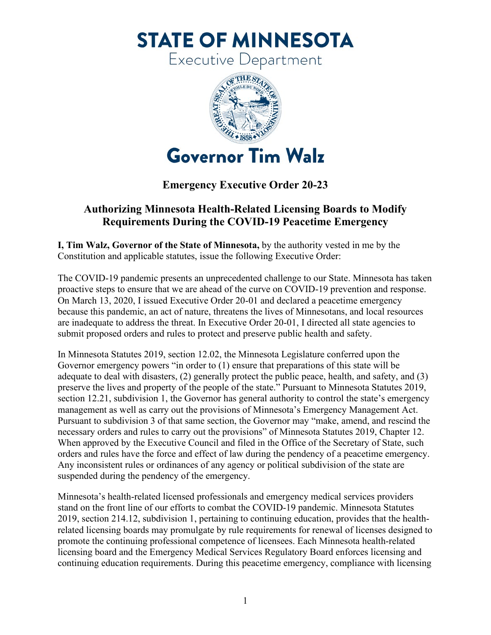**STATE OF MINNESOTA** 

Executive Department



## **Emergency Executive Order 20-23**

## **Authorizing Minnesota Health-Related Licensing Boards to Modify Requirements During the COVID-19 Peacetime Emergency**

**I, Tim Walz, Governor of the State of Minnesota,** by the authority vested in me by the Constitution and applicable statutes, issue the following Executive Order:

The COVID-19 pandemic presents an unprecedented challenge to our State. Minnesota has taken proactive steps to ensure that we are ahead of the curve on COVID-19 prevention and response. On March 13, 2020, I issued Executive Order 20-01 and declared a peacetime emergency because this pandemic, an act of nature, threatens the lives of Minnesotans, and local resources are inadequate to address the threat. In Executive Order 20-01, I directed all state agencies to submit proposed orders and rules to protect and preserve public health and safety.

In Minnesota Statutes 2019, section 12.02, the Minnesota Legislature conferred upon the Governor emergency powers "in order to (1) ensure that preparations of this state will be adequate to deal with disasters, (2) generally protect the public peace, health, and safety, and (3) preserve the lives and property of the people of the state." Pursuant to Minnesota Statutes 2019, section 12.21, subdivision 1, the Governor has general authority to control the state's emergency management as well as carry out the provisions of Minnesota's Emergency Management Act. Pursuant to subdivision 3 of that same section, the Governor may "make, amend, and rescind the necessary orders and rules to carry out the provisions" of Minnesota Statutes 2019, Chapter 12. When approved by the Executive Council and filed in the Office of the Secretary of State, such orders and rules have the force and effect of law during the pendency of a peacetime emergency. Any inconsistent rules or ordinances of any agency or political subdivision of the state are suspended during the pendency of the emergency.

Minnesota's health-related licensed professionals and emergency medical services providers stand on the front line of our efforts to combat the COVID-19 pandemic. Minnesota Statutes 2019, section 214.12, subdivision 1, pertaining to continuing education, provides that the healthrelated licensing boards may promulgate by rule requirements for renewal of licenses designed to promote the continuing professional competence of licensees. Each Minnesota health-related licensing board and the Emergency Medical Services Regulatory Board enforces licensing and continuing education requirements. During this peacetime emergency, compliance with licensing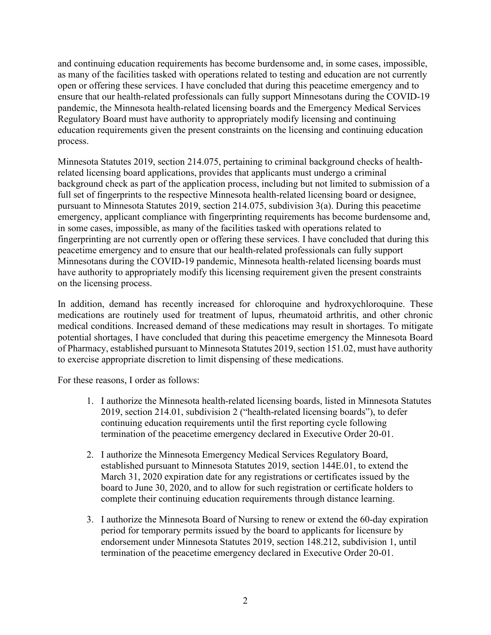and continuing education requirements has become burdensome and, in some cases, impossible, as many of the facilities tasked with operations related to testing and education are not currently open or offering these services. I have concluded that during this peacetime emergency and to ensure that our health-related professionals can fully support Minnesotans during the COVID-19 pandemic, the Minnesota health-related licensing boards and the Emergency Medical Services Regulatory Board must have authority to appropriately modify licensing and continuing education requirements given the present constraints on the licensing and continuing education process.

Minnesota Statutes 2019, section 214.075, pertaining to criminal background checks of healthrelated licensing board applications, provides that applicants must undergo a criminal background check as part of the application process, including but not limited to submission of a full set of fingerprints to the respective Minnesota health-related licensing board or designee, pursuant to Minnesota Statutes 2019, section 214.075, subdivision 3(a). During this peacetime emergency, applicant compliance with fingerprinting requirements has become burdensome and, in some cases, impossible, as many of the facilities tasked with operations related to fingerprinting are not currently open or offering these services. I have concluded that during this peacetime emergency and to ensure that our health-related professionals can fully support Minnesotans during the COVID-19 pandemic, Minnesota health-related licensing boards must have authority to appropriately modify this licensing requirement given the present constraints on the licensing process.

In addition, demand has recently increased for chloroquine and hydroxychloroquine. These medications are routinely used for treatment of lupus, rheumatoid arthritis, and other chronic medical conditions. Increased demand of these medications may result in shortages. To mitigate potential shortages, I have concluded that during this peacetime emergency the Minnesota Board of Pharmacy, established pursuant to Minnesota Statutes 2019, section 151.02, must have authority to exercise appropriate discretion to limit dispensing of these medications.

For these reasons, I order as follows:

- 1. I authorize the Minnesota health-related licensing boards, listed in Minnesota Statutes 2019, section 214.01, subdivision 2 ("health-related licensing boards"), to defer continuing education requirements until the first reporting cycle following termination of the peacetime emergency declared in Executive Order 20-01.
- 2. I authorize the Minnesota Emergency Medical Services Regulatory Board, established pursuant to Minnesota Statutes 2019, section 144E.01, to extend the March 31, 2020 expiration date for any registrations or certificates issued by the board to June 30, 2020, and to allow for such registration or certificate holders to complete their continuing education requirements through distance learning.
- 3. I authorize the Minnesota Board of Nursing to renew or extend the 60-day expiration period for temporary permits issued by the board to applicants for licensure by endorsement under Minnesota Statutes 2019, section 148.212, subdivision 1, until termination of the peacetime emergency declared in Executive Order 20-01.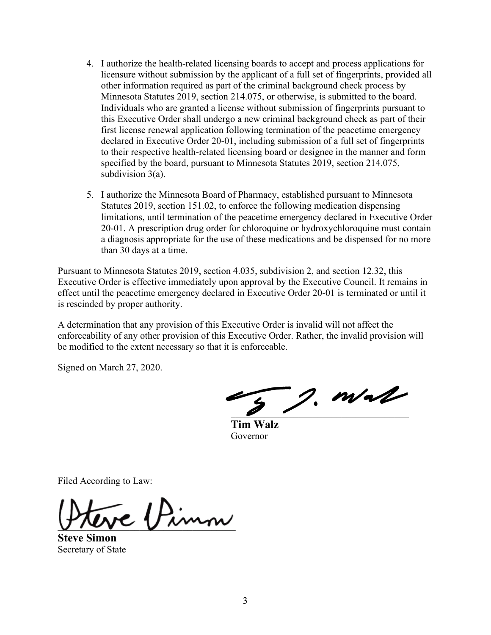- 4. I authorize the health-related licensing boards to accept and process applications for licensure without submission by the applicant of a full set of fingerprints, provided all other information required as part of the criminal background check process by Minnesota Statutes 2019, section 214.075, or otherwise, is submitted to the board. Individuals who are granted a license without submission of fingerprints pursuant to this Executive Order shall undergo a new criminal background check as part of their first license renewal application following termination of the peacetime emergency declared in Executive Order 20-01, including submission of a full set of fingerprints to their respective health-related licensing board or designee in the manner and form specified by the board, pursuant to Minnesota Statutes 2019, section 214.075, subdivision 3(a).
- 5. I authorize the Minnesota Board of Pharmacy, established pursuant to Minnesota Statutes 2019, section 151.02, to enforce the following medication dispensing limitations, until termination of the peacetime emergency declared in Executive Order 20-01. A prescription drug order for chloroquine or hydroxychloroquine must contain a diagnosis appropriate for the use of these medications and be dispensed for no more than 30 days at a time.

Pursuant to Minnesota Statutes 2019, section 4.035, subdivision 2, and section 12.32, this Executive Order is effective immediately upon approval by the Executive Council. It remains in effect until the peacetime emergency declared in Executive Order 20-01 is terminated or until it is rescinded by proper authority.

A determination that any provision of this Executive Order is invalid will not affect the enforceability of any other provision of this Executive Order. Rather, the invalid provision will be modified to the extent necessary so that it is enforceable.

Signed on March 27, 2020.

 $2.$  m/ $\sim$ 

**Tim Walz** Governor

Filed According to Law:

 $\epsilon$  / Pimm

**Steve Simon** Secretary of State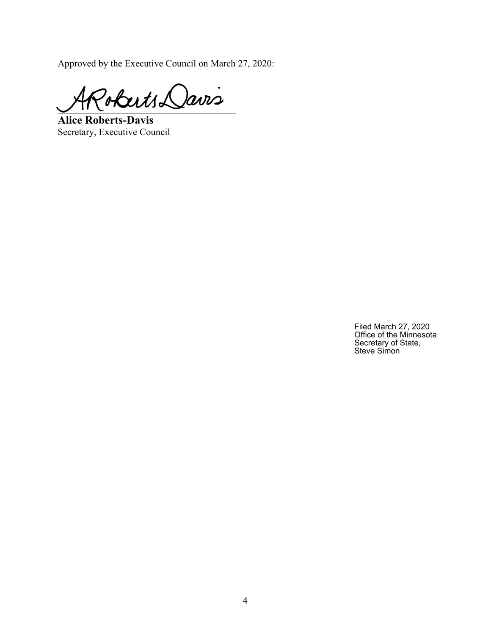Approved by the Executive Council on March 27, 2020:

 $2$ oberts Davis

**Alice Roberts-Davis** Secretary, Executive Council

Filed March 27, 2020 Office of the Minnesota Secretary of State, Steve Simon